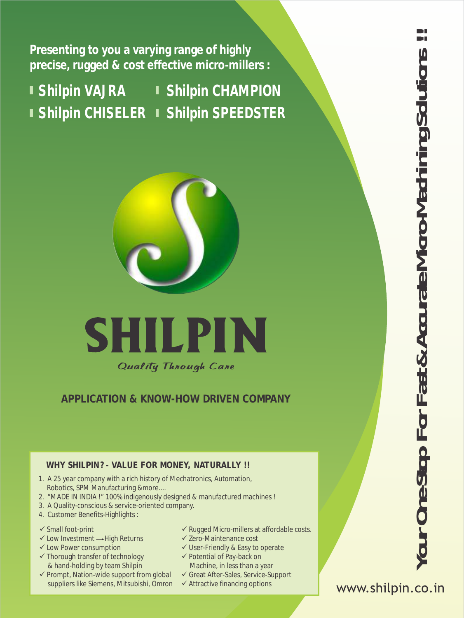**Presenting to you a varying range of highly precise, rugged & cost effective micro-millers :**

**Shilpin VAJRA Shilpin CHISELER Shilpin SPEEDSTER Shilpin CHAMPION**



Quality Through Care

**APPLI CATI ON & KNOW-HOW DRI VEN COMPANY**

#### **WHY SHILPIN? - VALUE FOR MONEY, NATURALLY !!**

- 1. A 25 year company with a rich history of Mechatronics, Automation, Robotics, SPM Manufacturing &more....
- 2. "MADE IN INDIA !" 100% indigenously designed & manufactured machines !
- 3. A Quality-conscious & service-oriented company.
- 4. Customer Benefits-Highlights :
- 
- $\checkmark$  Low Investment  $\to$  High Returns
- $\checkmark$  Low Power consumption
- $\checkmark$  Thorough transfer of technology & hand-holding by team Shilpin
- $\checkmark$  Prompt, Nation-wide support from global suppliers like Siemens, Mitsubishi, Omron
- $\checkmark$  Small foot-print  $\checkmark$  Rugged Micro-millers at affordable costs.
	- $\checkmark$  Zero-Maintenance cost
	- $\checkmark$  User-Friendly & Easy to operate
	- $\checkmark$  Potential of Pay-back on Machine, in less than a year
	- ü Great After-Sales, Service-Support
	- $\checkmark$  Attractive financing options

www.shilpin.co.in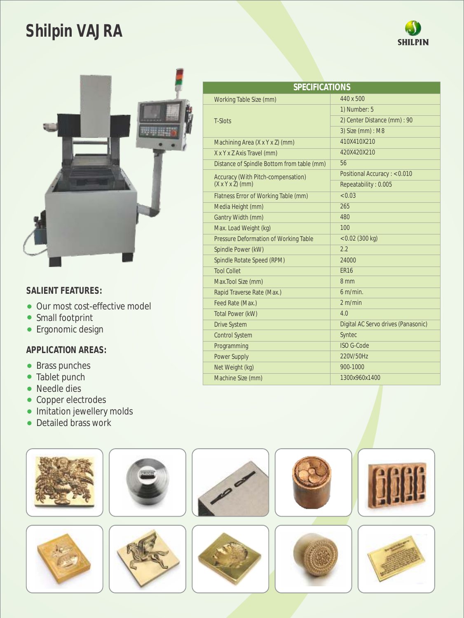# **Shilpin VAJRA**





#### **SALIENT FEATURES:**

- Our most cost-effective model
- Small footprint
- **•** Ergonomic design

- Brass punches
- Tablet punch
- Needle dies
- Copper electrodes
- **Imitation jewellery molds**
- Detailed brass work

| <b>SPECIFICATIONS</b>                                              |                                     |  |
|--------------------------------------------------------------------|-------------------------------------|--|
| Working Table Size (mm)                                            | 440 x 500                           |  |
| <b>T-Slots</b>                                                     | 1) Number: 5                        |  |
|                                                                    | 2) Center Distance (mm) : 90        |  |
|                                                                    | 3) Size (mm) : M8                   |  |
| Machining Area (X x Y x Z) (mm)                                    | 410X410X210                         |  |
| X x Y x Z Axis Travel (mm)                                         | 420X420X210                         |  |
| Distance of Spindle Bottom from table (mm)                         | 56                                  |  |
| Accuracy (With Pitch-compensation)<br>$(X \times Y \times Z)$ (mm) | Positional Accuracy: < 0.010        |  |
|                                                                    | Repeatability: 0.005                |  |
| Flatness Error of Working Table (mm)                               | < 0.03                              |  |
| Media Height (mm)                                                  | 265                                 |  |
| Gantry Width (mm)                                                  | 480                                 |  |
| Max. Load Weight (kg)                                              | 100                                 |  |
| Pressure Deformation of Working Table                              | $< 0.02$ (300 kg)                   |  |
| Spindle Power (kW)                                                 | 2.2                                 |  |
| Spindle Rotate Speed (RPM)                                         | 24000                               |  |
| <b>Tool Collet</b>                                                 | <b>ER16</b>                         |  |
| Max.Tool Size (mm)                                                 | 8 mm                                |  |
| Rapid Traverse Rate (Max.)                                         | $6 \text{ m/min}$ .                 |  |
| Feed Rate (Max.)                                                   | 2 m/min                             |  |
| Total Power (kW)                                                   | 4.0                                 |  |
| <b>Drive System</b>                                                | Digital AC Servo drives (Panasonic) |  |
| <b>Control System</b>                                              | Syntec                              |  |
| Programming                                                        | <b>ISO G-Code</b>                   |  |
| <b>Power Supply</b>                                                | 220V/50Hz                           |  |
| Net Weight (kg)                                                    | 900-1000                            |  |
| Machine Size (mm)                                                  | 1300x960x1400                       |  |
|                                                                    |                                     |  |

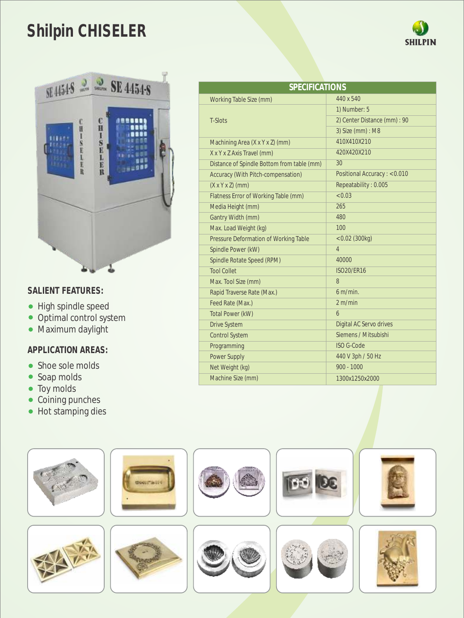### **Shilpin CHISELER**



#### **SALIENT FEATURES:**

- High spindle speed
- Optimal control system
- Maximum daylight

- Shoe sole molds
- Soap molds
- Toy molds
- Coining punches
- Hot stamping dies

| <b>SPECIFICATIONS</b>                      |                              |  |
|--------------------------------------------|------------------------------|--|
| Working Table Size (mm)                    | 440 x 540                    |  |
| <b>T-Slots</b>                             | 1) Number: 5                 |  |
|                                            | 2) Center Distance (mm) : 90 |  |
|                                            | 3) Size (mm) : M8            |  |
| Machining Area (X x Y x Z) (mm)            | 410X410X210                  |  |
| X x Y x Z Axis Travel (mm)                 | 420X420X210                  |  |
| Distance of Spindle Bottom from table (mm) | 30                           |  |
| Accuracy (With Pitch-compensation)         | Positional Accuracy: < 0.010 |  |
| $(X \times Y \times Z)$ (mm)               | Repeatability: 0.005         |  |
| Flatness Error of Working Table (mm)       | < 0.03                       |  |
| Media Height (mm)                          | 265                          |  |
| Gantry Width (mm)                          | 480                          |  |
| Max. Load Weight (kg)                      | 100                          |  |
| Pressure Deformation of Working Table      | $< 0.02$ (300kg)             |  |
| Spindle Power (kW)                         | $\overline{4}$               |  |
| Spindle Rotate Speed (RPM)                 | 40000                        |  |
| <b>Tool Collet</b>                         | <b>ISO20/ER16</b>            |  |
| Max. Tool Size (mm)                        | 8                            |  |
| Rapid Traverse Rate (Max.)                 | $6 \text{ m/min}$ .          |  |
| Feed Rate (Max.)                           | 2 m/min                      |  |
| Total Power (kW)                           | 6                            |  |
| <b>Drive System</b>                        | Digital AC Servo drives      |  |
| <b>Control System</b>                      | Siemens / Mitsubishi         |  |
| Programming                                | <b>ISO G-Code</b>            |  |
| <b>Power Supply</b>                        | 440 V 3ph / 50 Hz            |  |
| Net Weight (kg)                            | $900 - 1000$                 |  |
| Machine Size (mm)                          | 1300x1250x2000               |  |



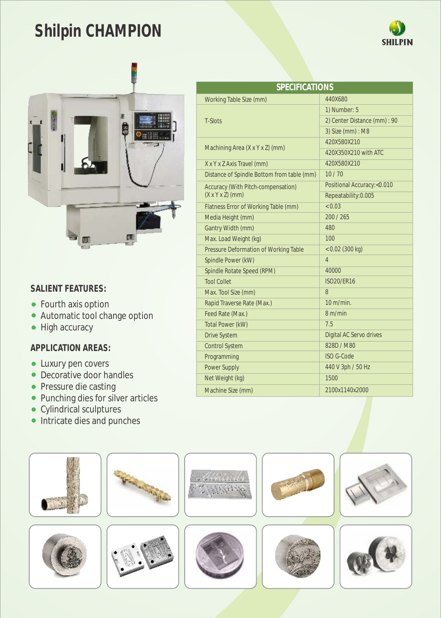# **Shilpin CHAMPION**





#### **SALIENT FEATURES:**

- Fourth axis option
- Automatic tool change option
- High accuracy

- Luxury pen covers
- Decorative door handles
- Pressure die casting
- Punching dies for silver articles
- Cylindrical sculptures
- Intricate dies and punches

| SPECIFICATIONS                                                     |                              |  |
|--------------------------------------------------------------------|------------------------------|--|
| Working Table Size (mm)                                            | 440X680                      |  |
| T-Slots                                                            | 1) Number: 5                 |  |
|                                                                    | 2) Center Distance (mm) : 90 |  |
|                                                                    | 3) Size (mm) : M8            |  |
| Machining Area (X x Y x Z) (mm)                                    | 420X580X210                  |  |
|                                                                    | 420X350X210 with ATC         |  |
| X x Y x Z Axis Travel (mm)                                         | 420X580X210                  |  |
| Distance of Spindle Bottom from table (mm)                         | 10/70                        |  |
| Accuracy (With Pitch-compensation)<br>$(X \times Y \times Z)$ (mm) | Positional Accuracy:<0.010   |  |
|                                                                    | Repeatability: 0.005         |  |
| Flatness Error of Working Table (mm)                               | < 0.03                       |  |
| Media Height (mm)                                                  | 200 / 265                    |  |
| Gantry Width (mm)                                                  | 480                          |  |
| Max. Load Weight (kg)                                              | 100                          |  |
| Pressure Deformation of Working Table                              | $< 0.02$ (300 kg)            |  |
| Spindle Power (kW)                                                 | 4                            |  |
| Spindle Rotate Speed (RPM)                                         | 40000                        |  |
| <b>Tool Collet</b>                                                 | <b>ISO20/ER16</b>            |  |
| Max. Tool Size (mm)                                                | 8                            |  |
| Rapid Traverse Rate (Max.)                                         | $10 \text{ m/min}$ .         |  |
| Feed Rate (Max.)                                                   | 8 m/min                      |  |
| Total Power (kW)                                                   | 7.5                          |  |
| <b>Drive System</b>                                                | Digital AC Servo drives      |  |
| <b>Control System</b>                                              | 828D / M80                   |  |
| Programming                                                        | <b>ISO G-Code</b>            |  |
| <b>Power Supply</b>                                                | 440 V 3ph / 50 Hz            |  |
| Net Weight (kg)                                                    | 1500                         |  |
| Machine Size (mm)                                                  | 2100x1140x2000               |  |

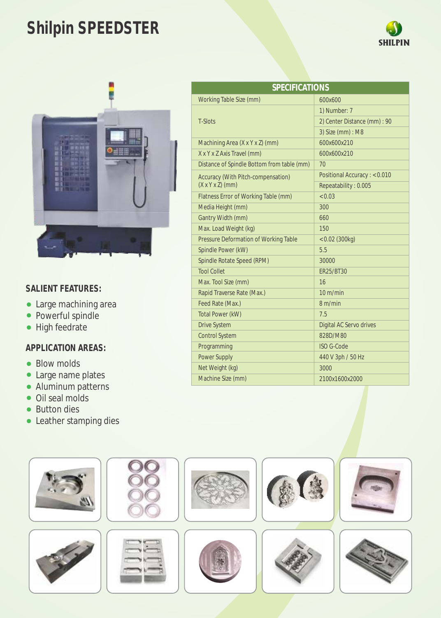# **Shilpin SPEEDSTER**





#### **SALIENT FEATURES:**

- Large machining area
- Powerful spindle
- High feedrate

- Blow molds
- Large name plates
- Aluminum patterns
- Oil seal molds
- Button dies
- Leather stamping dies

| <b>SPECIFICATIONS</b>                                              |                                |  |
|--------------------------------------------------------------------|--------------------------------|--|
| Working Table Size (mm)                                            | 600x600                        |  |
| <b>T-Slots</b>                                                     | 1) Number: 7                   |  |
|                                                                    | 2) Center Distance (mm) : 90   |  |
|                                                                    | 3) Size (mm) : M8              |  |
| Machining Area (X x Y x Z) (mm)                                    | 600x600x210                    |  |
| X x Y x Z Axis Travel (mm)                                         | 600x600x210                    |  |
| Distance of Spindle Bottom from table (mm)                         | 70                             |  |
| Accuracy (With Pitch-compensation)<br>$(X \times Y \times Z)$ (mm) | Positional Accuracy: < 0.010   |  |
|                                                                    | Repeatability: 0.005           |  |
| Flatness Error of Working Table (mm)                               | < 0.03                         |  |
| Media Height (mm)                                                  | 300                            |  |
| Gantry Width (mm)                                                  | 660                            |  |
| Max. Load Weight (kg)                                              | 150                            |  |
| Pressure Deformation of Working Table                              | $< 0.02$ (300kg)               |  |
| Spindle Power (kW)                                                 | 5.5                            |  |
| Spindle Rotate Speed (RPM)                                         | 30000                          |  |
| <b>Tool Collet</b>                                                 | ER25/BT30                      |  |
| Max. Tool Size (mm)                                                | 16                             |  |
| Rapid Traverse Rate (Max.)                                         | $10 \text{ m/min}$             |  |
| Feed Rate (Max.)                                                   | 8 m/min                        |  |
| Total Power (kW)                                                   | 7.5                            |  |
| <b>Drive System</b>                                                | <b>Digital AC Servo drives</b> |  |
| <b>Control System</b>                                              | 828D/M80                       |  |
| Programming                                                        | <b>ISO G-Code</b>              |  |
| <b>Power Supply</b>                                                | 440 V 3ph / 50 Hz              |  |
| Net Weight (kg)                                                    | 3000                           |  |
| Machine Size (mm)                                                  | 2100x1600x2000                 |  |
|                                                                    |                                |  |